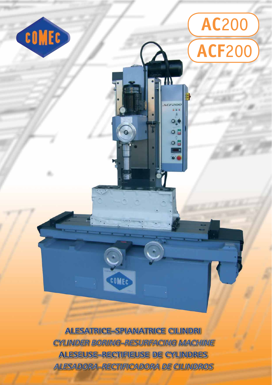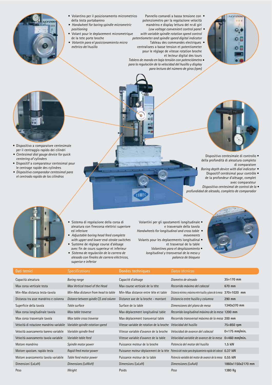- 
- Volantino per il posizionamento micrometrico della testa portabareno
- Handwheel for boring spindle micrometric positioning
- Volant pour le deplacement micrometrique de la tete porte broche
- Volantín para el posicionamiento micro métrico del husillo
- Pannello comandi a bassa tensione con · potenziometro per la regolazione velocità mandrino e display lettura del nr.di giri Low voltage convenient control panel •
- with variable spindle rotation speed control potentiometer and spindle speed digital indicator Tableau des commandes electriques centralisees a basse tension et potentiometer
- pour le réglage de vitesse rotation broche et lecteur digital des tours
- Tablero de mando en baja tensión con potenciómetro · para la regulación de la velocidad del husillo y display para lectura del número de giros (rpm)



- · Dispositivo a comparatore centesimale per il centraggio rapido dei cilindri
- Centesimal dial gauge device for quick centering of cylinders
- · Dispositif a comparateur centesimal pour le centrage rapide des cylindres
- · Dispositivo comparador centesimal para el centrado rapido de los cilindros



o

- Dispositivo centesimale di controllo · della profondità di alesatura completo di comparatore
- Boring depth device with dial indicator Dispositif centésimal pour contrôle ·
- de la profondeur d'alésage, complet avec comparateur Dispositivo centesimal de control de la ·
- profundidad de alesado, completo de comparador



- · Sistema di regolazione della corsa di alesatura con finecorsa elettrici superiore ed inferiore
- Adjustable boring head feed complete with upper and lower end-stroke switches
- · Systeme de réglage course d'alésage avec fin de cours superieur et inferieur
- · Sistema de regulación de la carrera de alesado con finales de carrera eléctricos. superior e inferior
- Volantini per gli spostamenti longitudinale · e trasversale della tavola
- Handwheels for longitudinal and cross table movements
- Volants pour les deplacements longitudinal · et trasversal de la table
	- Volantines para el desplazamiento · longitudinal y transversal de la mesa y palanca de bloqueo

 $\overline{D}$ 

 $\overline{a}$ 



Dati tecnici **Specifications** Donées techniques Capacità alesatura **Boring range** Capacité d'alésage Max corsa verticale testa Max Vertical travel of the Head Min-Max distanza testa-tavola Min-Max distance from head to table Distanza tra asse mandrino e colonna Distance between spindle C/L and column Superficie della tavola Table surface Max corsa longitudinale tavola Max table traverse Max corsa trasversale tavola Max table cross traverse

Velocità di rotazione mandrino variabile Variable spindle rotation speed Velocità avanzamento bareno variabile Variable spindle feed Velocità avanzamento tavola variabile Variable table feed Motore mandrino Spindle motor power Motore spostam. rapido testa Rapid feed motor power

Motore avanzamento tavola variabile Dimensioni (LxLxH)

Peso

Dimensions (LxWxH) Weight

Table feed motor power

Max course verticale de la téte Min-Max distance entre téte et table Distance axe de la broche - montant Surface de la table Max déplacement longitudinal table Max déplacement transversal table Vitesse variable de rotation de la broche V Vitesse variable d'avance de la broche Vitesse variable d'avance de la table Puissance moteur de la broche Puissance moteur déplacement de la téte Po Puissance moteur de la table Dimensions (LxLxH) Poids

| Diametro de alesado                                                    | $35 - 170$ mm     |
|------------------------------------------------------------------------|-------------------|
| Recorrido máximo del cabezal                                           | 670 mm            |
| Distancia mínima y máxima entre husillo y plano de la mesa 370÷1020 mm |                   |
| Distancia entre husillo y columna                                      | 290 mm            |
| Dimensiones del plano de mesa                                          | 1340x370 mm       |
| Recorrido longitudinal máximo de la mesa 1200 mm                       |                   |
| Recorrido transversal máximo de la mesa 200 mm                         |                   |
| Velocidad del husillo                                                  | 75÷850 rpm        |
| Velocidad de avance del cabezal                                        | $0:175$ mm/min.   |
| Velocidad variable de avance de la mesa 0÷460 mm/min.                  |                   |
| Potencia del motor del husillo                                         | $1.5$ kW          |
| Potencia del motor para desplazamiento rapido del cabezal 0.37 kW      |                   |
| Potencia variable del motor de avance de la mesa 0.55 kW               |                   |
| Dimensiones (LxAxA)                                                    | 1860x1150x2170 mm |
| Peso                                                                   | 1380 Ka           |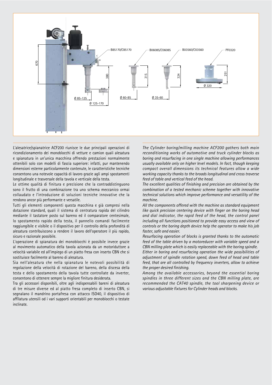

L'alesatrice/spianatrice ACF200 riunisce le due principali operazioni di ricondizionamento dei monoblocchi di vetture e camion quali alesatura e spianatura in un'unica macchina offrendo prestazioni normalmente ottenibili solo con modelli di fascia superiore: infatti, pur mantenendo dimensioni esterne particolarmente contenute, le caratteristiche tecniche consentono una notevole capacità di lavoro grazie agli ampi spostamenti longitudinale e trasversale della tavola e verticale della testa.

Le ottime qualità di finitura e precisione che la contraddistinguono sono il frutto di una combinazione tra uno schema meccanico ormai collaudato e l'introduzione di soluzioni tecniche innovative che la rendono ancor più performante e versatile.

Tutti gli elementi componenti questa macchina e già compresi nella dotazione standard, quali il sistema di centratura rapida del cilindro mediante il tastatore posto sul bareno ed il comparatore centesimale, lo spostamento rapido della testa, il pannello comandi facilmente raggiungibile e visibile o il dispositivo per il controllo della profondità di alesatura contribuiscono a rendere il lavoro dell'operatore il più rapido, sicuro e razionale possibile.

L'operazione di spianatura dei monoblocchi è possibile invece grazie al movimento automatico della tavola azionata da un motoriduttore a velocità variabile ed all'impiego di un piatto fresa con inserto CBN che si sostituisce facilmente al bareno di alesatura.

Sia nell'alesatura che nella spianatura le notevoli possibilità di regolazione della velocità di rotazione del bareno, della discesa della testa e dello spostamento della tavola tutte controllate da inverter, consentono di ottenere sempre la migliore finitura desiderata.

Tra gli accessori disponibili, oltre agli indispensabili bareni di alesatura di tre misure diverse ed al piatto fresa completo di inserto CBN, si segnalano il mandrino portafresa con attacco ISO40, il dispositivo di affilatura utensili od i vari supporti orientabili per monoblocchi o testate inclinate.

The Cylinder boring/milling machine ACF200 gathers both main reconditioning works of automotive and truck cylinder blocks as boring and resurfacing in one single machine allowing performances usually available only on higher level models. In fact, though keeping compact overall dimensions its technical features allow a wide working capacity thanks to the broads longitudinal and cross traverse feed of table and vertical feed of the head.

The excellent qualities of finishing and precision are obtained by the combination of a tested mechanic scheme together with innovative technical solutions which improve performance and versatility of the machine.

All the components offered with the machine as standard equipment like quick precision centering device with finger on the boring head and dial indicator, the rapid feed of the head, the control panel including all functions positioned to provide easy access and view of controls or the boring depth device help the operator to make his job faster, safe and easier.

Resurfacing operation of blocks is granted thanks to the automatic feed of the table driven by a motoreducer with variable speed and a CBN milling plate which is easily replaceable with the boring spindle.

Either in boring and resurfacing operation the wide possibilities of adjustment of spindle rotation speed, down feed of head and table feed, that are all controlled by frequency inverters, allow to achieve the proper desired finishing.

Among the available accessories, beyond the essential boring spindles in three different sizes and the CBN milling plate, are recommended the CAT40 spindle, the tool sharpening device or various adjustable fixtures for Cylinder heads and blocks.